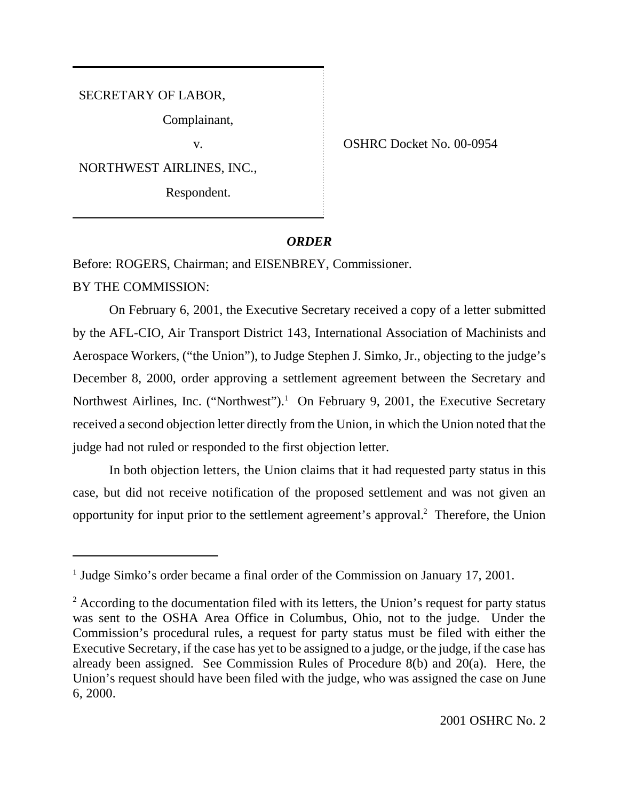SECRETARY OF LABOR,

Complainant,

NORTHWEST AIRLINES, INC.,

Respondent.

v. COSHRC Docket No. 00-0954

## *ORDER*

Before: ROGERS, Chairman; and EISENBREY, Commissioner.

BY THE COMMISSION:

On February 6, 2001, the Executive Secretary received a copy of a letter submitted by the AFL-CIO, Air Transport District 143, International Association of Machinists and Aerospace Workers, ("the Union"), to Judge Stephen J. Simko, Jr., objecting to the judge's December 8, 2000, order approving a settlement agreement between the Secretary and Northwest Airlines, Inc. ("Northwest").<sup>1</sup> On February 9, 2001, the Executive Secretary received a second objection letter directly from the Union, in which the Union noted that the judge had not ruled or responded to the first objection letter.

In both objection letters, the Union claims that it had requested party status in this case, but did not receive notification of the proposed settlement and was not given an opportunity for input prior to the settlement agreement's approval.<sup>2</sup> Therefore, the Union

<sup>&</sup>lt;sup>1</sup> Judge Simko's order became a final order of the Commission on January 17, 2001.

 $2$  According to the documentation filed with its letters, the Union's request for party status was sent to the OSHA Area Office in Columbus, Ohio, not to the judge. Under the Commission's procedural rules, a request for party status must be filed with either the Executive Secretary, if the case has yet to be assigned to a judge, or the judge, if the case has already been assigned. See Commission Rules of Procedure 8(b) and 20(a). Here, the Union's request should have been filed with the judge, who was assigned the case on June 6, 2000.